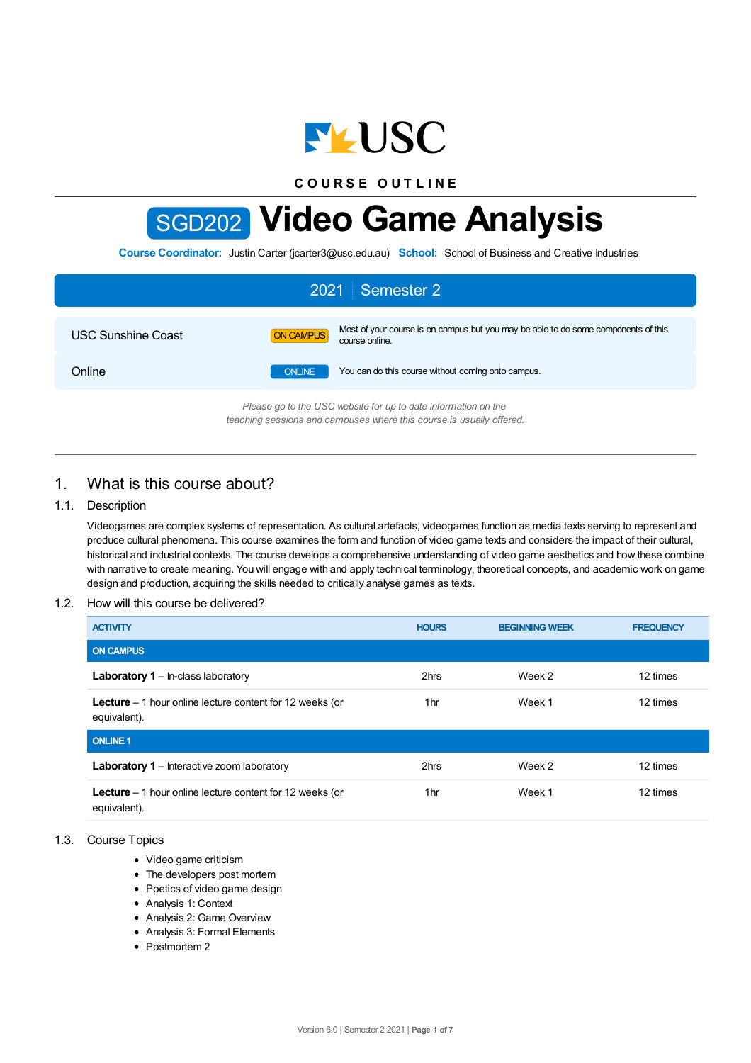

**C O U R S E O U T L I N E**

# SGD202 **Video Game Analysis**

**Course Coordinator:** Justin Carter (jcarter3@usc.edu.au) **School:** School of Business and Creative Industries

| 2021 Semester 2                                                |               |                                                                                                      |  |  |
|----------------------------------------------------------------|---------------|------------------------------------------------------------------------------------------------------|--|--|
| <b>USC Sunshine Coast</b>                                      | ON CAMPUS     | Most of your course is on campus but you may be able to do some components of this<br>course online. |  |  |
| Online                                                         | <b>ONLINE</b> | You can do this course without coming onto campus.                                                   |  |  |
| Plasse no to the USC vehsite for up to date information on the |               |                                                                                                      |  |  |

*Please go to the USC website for up to date information on the teaching sessions and campuses where this course is usually offered.*

# 1. What is this course about?

## 1.1. Description

Videogames are complex systems of representation. As cultural artefacts, videogames function as media texts serving to represent and produce cultural phenomena. This course examines the form and function of video game texts and considers the impact of their cultural, historical and industrial contexts. The course develops a comprehensive understanding of video game aesthetics and how these combine with narrative to create meaning. You will engage with and apply technical terminology, theoretical concepts, and academic work on game design and production, acquiring the skills needed to critically analyse games as texts.

## 1.2. How will this course be delivered?

| <b>ACTIVITY</b>                                                                  | <b>HOURS</b> | <b>BEGINNING WEEK</b> | <b>FREQUENCY</b> |
|----------------------------------------------------------------------------------|--------------|-----------------------|------------------|
| <b>ON CAMPUS</b>                                                                 |              |                       |                  |
| <b>Laboratory 1</b> – In-class laboratory                                        | 2hrs         | Week 2                | 12 times         |
| <b>Lecture</b> $-1$ hour online lecture content for 12 weeks (or<br>equivalent). | 1hr          | Week 1                | 12 times         |
| <b>ONLINE 1</b>                                                                  |              |                       |                  |
| <b>Laboratory 1</b> – Interactive zoom laboratory                                | 2hrs         | Week 2                | 12 times         |
| <b>Lecture</b> $-1$ hour online lecture content for 12 weeks (or<br>equivalent). | 1hr          | Week 1                | 12 times         |

## 1.3. Course Topics

- Video game criticism
- The developers post mortem
- Poetics of video game design
- Analysis 1: Context
- Analysis 2: Game Overview
- Analysis 3: Formal Elements
- Postmortem 2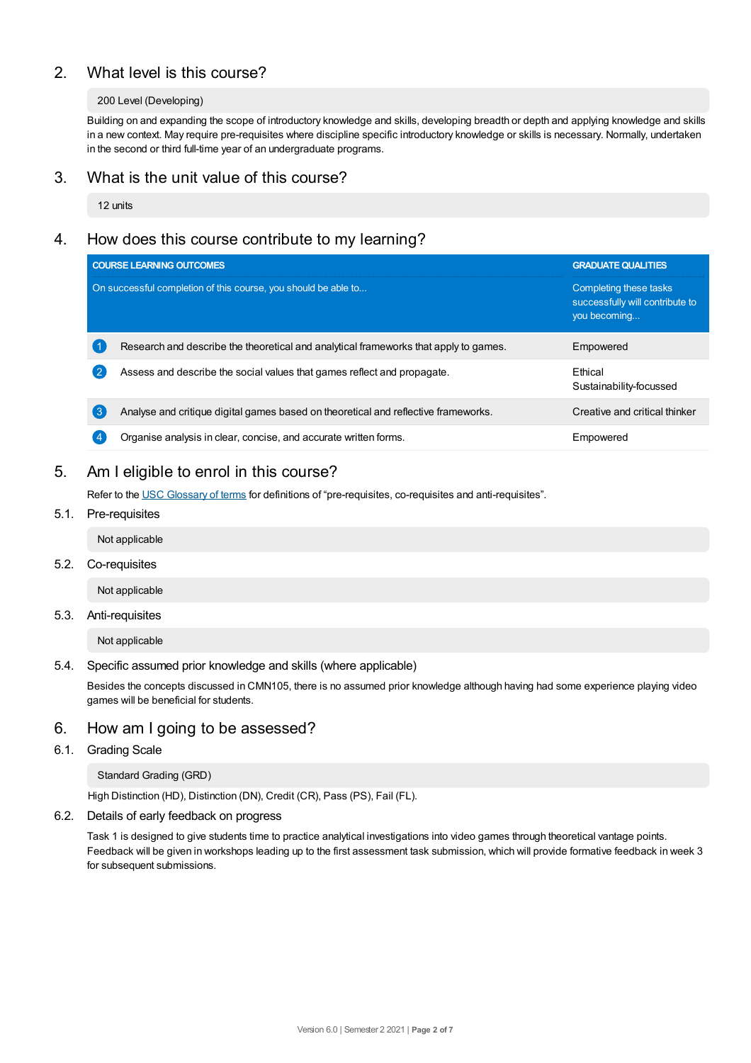# 2. What level is this course?

## 200 Level (Developing)

Building on and expanding the scope of introductory knowledge and skills, developing breadth or depth and applying knowledge and skills in a new context. May require pre-requisites where discipline specific introductory knowledge or skills is necessary. Normally, undertaken in the second or third full-time year of an undergraduate programs.

## 3. What is the unit value of this course?

12 units

# 4. How does this course contribute to my learning?

|                                                                | <b>COURSE LEARNING OUTCOMES</b>                                                      | <b>GRADUATE QUALITIES</b>                                                 |
|----------------------------------------------------------------|--------------------------------------------------------------------------------------|---------------------------------------------------------------------------|
| On successful completion of this course, you should be able to |                                                                                      | Completing these tasks<br>successfully will contribute to<br>you becoming |
|                                                                | Research and describe the theoretical and analytical frameworks that apply to games. | Empowered                                                                 |
| 2                                                              | Assess and describe the social values that games reflect and propagate.              | <b>F</b> thical<br>Sustainability-focussed                                |
| (ვ                                                             | Analyse and critique digital games based on theoretical and reflective frameworks.   | Creative and critical thinker                                             |
| 4                                                              | Organise analysis in clear, concise, and accurate written forms.                     | Empowered                                                                 |

# 5. Am Ieligible to enrol in this course?

Refer to the USC [Glossary](https://www.usc.edu.au/about/policies-and-procedures/glossary-of-terms-for-policy-and-procedures) of terms for definitions of "pre-requisites, co-requisites and anti-requisites".

5.1. Pre-requisites

Not applicable

5.2. Co-requisites

Not applicable

5.3. Anti-requisites

Not applicable

5.4. Specific assumed prior knowledge and skills (where applicable)

Besides the concepts discussed in CMN105, there is no assumed prior knowledge although having had some experience playing video games will be beneficial for students.

## 6. How am Igoing to be assessed?

## 6.1. Grading Scale

#### Standard Grading (GRD)

High Distinction (HD), Distinction (DN), Credit (CR), Pass (PS), Fail (FL).

#### 6.2. Details of early feedback on progress

Task 1 is designed to give students time to practice analytical investigations into video games through theoretical vantage points. Feedback will be given in workshops leading up to the first assessment task submission, which will provide formative feedback in week 3 for subsequent submissions.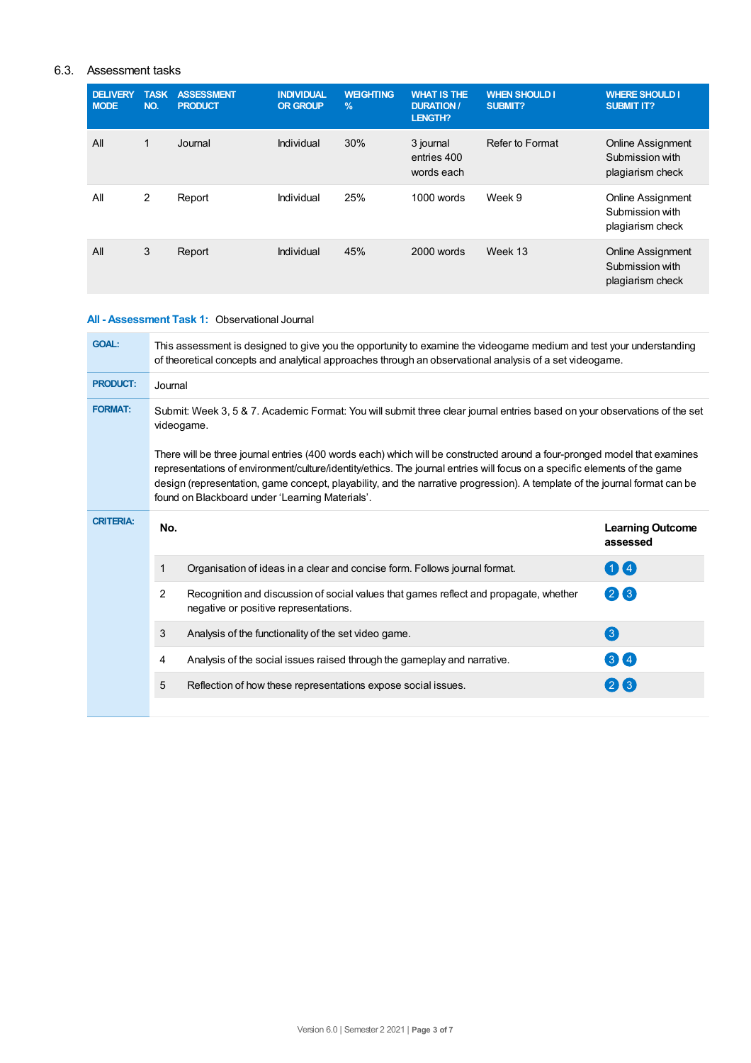## 6.3. Assessment tasks

| <b>DELIVERY</b><br><b>MODE</b> | <b>TASK</b><br>NO. | <b>ASSESSMENT</b><br><b>PRODUCT</b> | <b>INDIVIDUAL</b><br><b>OR GROUP</b> | <b>WEIGHTING</b><br>$\%$ | <b>WHAT IS THE</b><br><b>DURATION /</b><br><b>LENGTH?</b> | <b>WHEN SHOULD I</b><br>SUBMIT? | <b>WHERE SHOULD I</b><br><b>SUBMIT IT?</b>                      |
|--------------------------------|--------------------|-------------------------------------|--------------------------------------|--------------------------|-----------------------------------------------------------|---------------------------------|-----------------------------------------------------------------|
| All                            | 1                  | Journal                             | Individual                           | 30%                      | 3 journal<br>entries 400<br>words each                    | Refer to Format                 | <b>Online Assignment</b><br>Submission with<br>plagiarism check |
| All                            | $\overline{2}$     | Report                              | Individual                           | 25%                      | 1000 words                                                | Week 9                          | <b>Online Assignment</b><br>Submission with<br>plagiarism check |
| All                            | 3                  | Report                              | Individual                           | 45%                      | 2000 words                                                | Week 13                         | <b>Online Assignment</b><br>Submission with<br>plagiarism check |

#### **All - Assessment Task 1:** Observational Journal

| <b>GOAL:</b>     | This assessment is designed to give you the opportunity to examine the videogame medium and test your understanding<br>of theoretical concepts and analytical approaches through an observational analysis of a set videogame. |                                                                                                                                                                                                                                                                                                                                                                                                                                        |                                     |  |  |  |
|------------------|--------------------------------------------------------------------------------------------------------------------------------------------------------------------------------------------------------------------------------|----------------------------------------------------------------------------------------------------------------------------------------------------------------------------------------------------------------------------------------------------------------------------------------------------------------------------------------------------------------------------------------------------------------------------------------|-------------------------------------|--|--|--|
| <b>PRODUCT:</b>  | Journal                                                                                                                                                                                                                        |                                                                                                                                                                                                                                                                                                                                                                                                                                        |                                     |  |  |  |
| <b>FORMAT:</b>   | Submit: Week 3, 5 & 7. Academic Format: You will submit three clear journal entries based on your observations of the set                                                                                                      |                                                                                                                                                                                                                                                                                                                                                                                                                                        |                                     |  |  |  |
|                  |                                                                                                                                                                                                                                | There will be three journal entries (400 words each) which will be constructed around a four-pronged model that examines<br>representations of environment/culture/identity/ethics. The journal entries will focus on a specific elements of the game<br>design (representation, game concept, playability, and the narrative progression). A template of the journal format can be<br>found on Blackboard under 'Learning Materials'. |                                     |  |  |  |
| <b>CRITERIA:</b> | No.                                                                                                                                                                                                                            |                                                                                                                                                                                                                                                                                                                                                                                                                                        | <b>Learning Outcome</b><br>assessed |  |  |  |
|                  | 1                                                                                                                                                                                                                              | Organisation of ideas in a clear and concise form. Follows journal format.                                                                                                                                                                                                                                                                                                                                                             | 00                                  |  |  |  |
|                  | $\overline{2}$                                                                                                                                                                                                                 | Recognition and discussion of social values that games reflect and propagate, whether<br>negative or positive representations.                                                                                                                                                                                                                                                                                                         | 26                                  |  |  |  |
|                  | 3                                                                                                                                                                                                                              | Analysis of the functionality of the set video game.                                                                                                                                                                                                                                                                                                                                                                                   | 3                                   |  |  |  |
|                  | 4                                                                                                                                                                                                                              | Analysis of the social issues raised through the gameplay and narrative.                                                                                                                                                                                                                                                                                                                                                               | 34                                  |  |  |  |
|                  | 5                                                                                                                                                                                                                              | Reflection of how these representations expose social issues.                                                                                                                                                                                                                                                                                                                                                                          | 26                                  |  |  |  |
|                  |                                                                                                                                                                                                                                |                                                                                                                                                                                                                                                                                                                                                                                                                                        |                                     |  |  |  |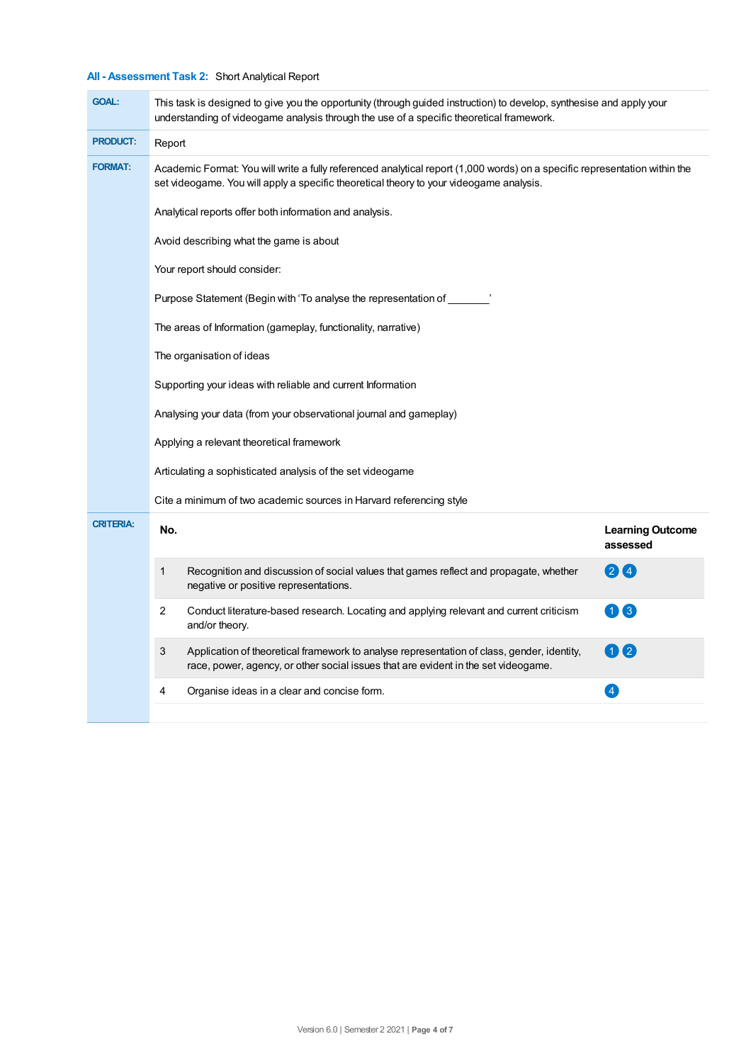# **All - Assessment Task 2:** Short Analytical Report

| <b>GOAL:</b>     | This task is designed to give you the opportunity (through guided instruction) to develop, synthesise and apply your<br>understanding of videogame analysis through the use of a specific theoretical framework.      |                                     |  |  |  |  |
|------------------|-----------------------------------------------------------------------------------------------------------------------------------------------------------------------------------------------------------------------|-------------------------------------|--|--|--|--|
| <b>PRODUCT:</b>  | Report                                                                                                                                                                                                                |                                     |  |  |  |  |
| <b>FORMAT:</b>   | Academic Format: You will write a fully referenced analytical report (1,000 words) on a specific representation within the<br>set videogame. You will apply a specific theoretical theory to your videogame analysis. |                                     |  |  |  |  |
|                  | Analytical reports offer both information and analysis.                                                                                                                                                               |                                     |  |  |  |  |
|                  | Avoid describing what the game is about                                                                                                                                                                               |                                     |  |  |  |  |
|                  | Your report should consider:                                                                                                                                                                                          |                                     |  |  |  |  |
|                  | Purpose Statement (Begin with 'To analyse the representation of _______'                                                                                                                                              |                                     |  |  |  |  |
|                  | The areas of Information (gameplay, functionality, narrative)                                                                                                                                                         |                                     |  |  |  |  |
|                  | The organisation of ideas                                                                                                                                                                                             |                                     |  |  |  |  |
|                  | Supporting your ideas with reliable and current Information                                                                                                                                                           |                                     |  |  |  |  |
|                  | Analysing your data (from your observational journal and gameplay)                                                                                                                                                    |                                     |  |  |  |  |
|                  | Applying a relevant theoretical framework                                                                                                                                                                             |                                     |  |  |  |  |
|                  | Articulating a sophisticated analysis of the set videogame                                                                                                                                                            |                                     |  |  |  |  |
|                  | Cite a minimum of two academic sources in Harvard referencing style                                                                                                                                                   |                                     |  |  |  |  |
| <b>CRITERIA:</b> | No.                                                                                                                                                                                                                   | <b>Learning Outcome</b><br>assessed |  |  |  |  |
|                  | 1<br>Recognition and discussion of social values that games reflect and propagate, whether<br>negative or positive representations.                                                                                   | 24                                  |  |  |  |  |
|                  | 2<br>Conduct literature-based research. Locating and applying relevant and current criticism<br>and/or theory.                                                                                                        | 13                                  |  |  |  |  |
|                  | 3<br>Application of theoretical framework to analyse representation of class, gender, identity,<br>race, power, agency, or other social issues that are evident in the set videogame.                                 | 0 2                                 |  |  |  |  |
|                  | 4<br>Organise ideas in a clear and concise form.                                                                                                                                                                      | $\overline{\mathbf{A}}$             |  |  |  |  |
|                  |                                                                                                                                                                                                                       |                                     |  |  |  |  |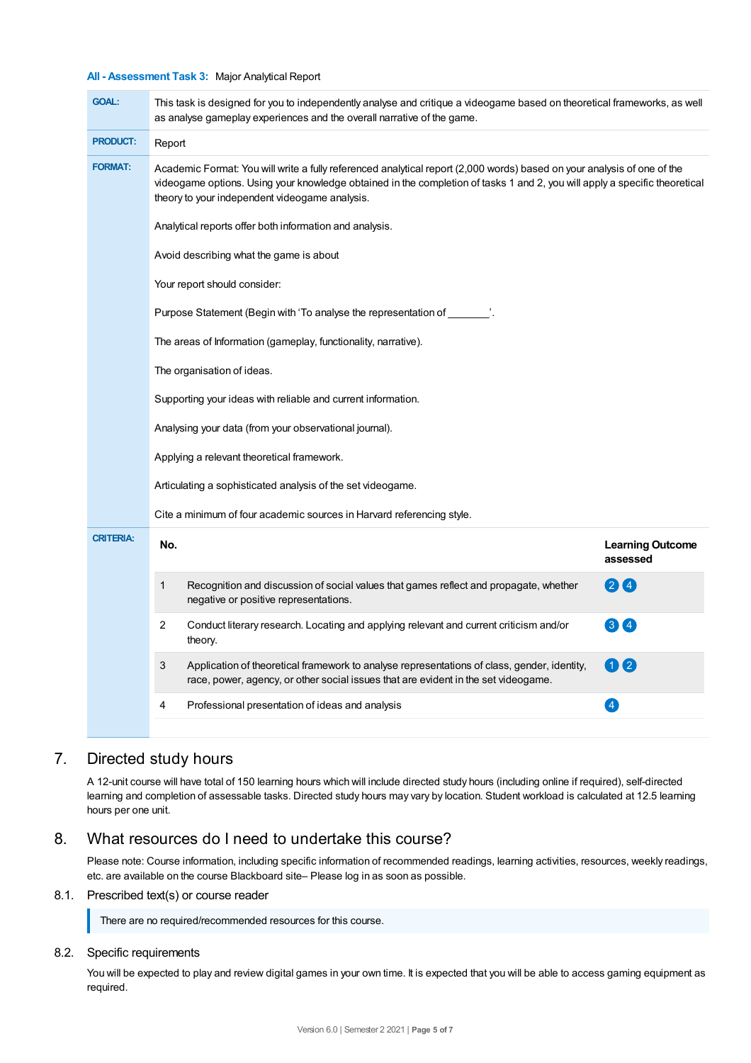#### **All - Assessment Task 3:** Major Analytical Report

| <b>GOAL:</b>     | This task is designed for you to independently analyse and critique a videogame based on theoretical frameworks, as well<br>as analyse gameplay experiences and the overall narrative of the game.                                                                                                      |                                     |  |  |  |  |
|------------------|---------------------------------------------------------------------------------------------------------------------------------------------------------------------------------------------------------------------------------------------------------------------------------------------------------|-------------------------------------|--|--|--|--|
| <b>PRODUCT:</b>  | Report                                                                                                                                                                                                                                                                                                  |                                     |  |  |  |  |
| <b>FORMAT:</b>   | Academic Format: You will write a fully referenced analytical report (2,000 words) based on your analysis of one of the<br>videogame options. Using your knowledge obtained in the completion of tasks 1 and 2, you will apply a specific theoretical<br>theory to your independent videogame analysis. |                                     |  |  |  |  |
|                  | Analytical reports offer both information and analysis.                                                                                                                                                                                                                                                 |                                     |  |  |  |  |
|                  | Avoid describing what the game is about                                                                                                                                                                                                                                                                 |                                     |  |  |  |  |
|                  | Your report should consider:                                                                                                                                                                                                                                                                            |                                     |  |  |  |  |
|                  | Purpose Statement (Begin with 'To analyse the representation of $\hspace{1.5cm}$ .                                                                                                                                                                                                                      |                                     |  |  |  |  |
|                  | The areas of Information (gameplay, functionality, narrative).                                                                                                                                                                                                                                          |                                     |  |  |  |  |
|                  | The organisation of ideas.<br>Supporting your ideas with reliable and current information.<br>Analysing your data (from your observational journal).<br>Applying a relevant theoretical framework.                                                                                                      |                                     |  |  |  |  |
|                  |                                                                                                                                                                                                                                                                                                         |                                     |  |  |  |  |
|                  |                                                                                                                                                                                                                                                                                                         |                                     |  |  |  |  |
|                  |                                                                                                                                                                                                                                                                                                         |                                     |  |  |  |  |
|                  | Articulating a sophisticated analysis of the set videogame.                                                                                                                                                                                                                                             |                                     |  |  |  |  |
|                  | Cite a minimum of four academic sources in Harvard referencing style.                                                                                                                                                                                                                                   |                                     |  |  |  |  |
| <b>CRITERIA:</b> | No.                                                                                                                                                                                                                                                                                                     | <b>Learning Outcome</b><br>assessed |  |  |  |  |
|                  | $\mathbf{1}$<br>Recognition and discussion of social values that games reflect and propagate, whether<br>negative or positive representations.                                                                                                                                                          | 24                                  |  |  |  |  |
|                  | 2<br>Conduct literary research. Locating and applying relevant and current criticism and/or<br>theory.                                                                                                                                                                                                  | 34                                  |  |  |  |  |
|                  | 3<br>Application of theoretical framework to analyse representations of class, gender, identity,<br>race, power, agency, or other social issues that are evident in the set videogame.                                                                                                                  | 00                                  |  |  |  |  |
|                  | Professional presentation of ideas and analysis<br>4                                                                                                                                                                                                                                                    | $\overline{\mathbf{A}}$             |  |  |  |  |
|                  |                                                                                                                                                                                                                                                                                                         |                                     |  |  |  |  |

# 7. Directed study hours

A 12-unit course will have total of 150 learning hours which will include directed study hours (including online if required), self-directed learning and completion of assessable tasks. Directed study hours may vary by location. Student workload is calculated at 12.5 learning hours per one unit.

# 8. What resources do I need to undertake this course?

Please note: Course information, including specific information of recommended readings, learning activities, resources, weekly readings, etc. are available on the course Blackboard site– Please log in as soon as possible.

## 8.1. Prescribed text(s) or course reader

There are no required/recommended resources for this course.

### 8.2. Specific requirements

You will be expected to play and review digital games in your own time. It is expected that you will be able to access gaming equipment as required.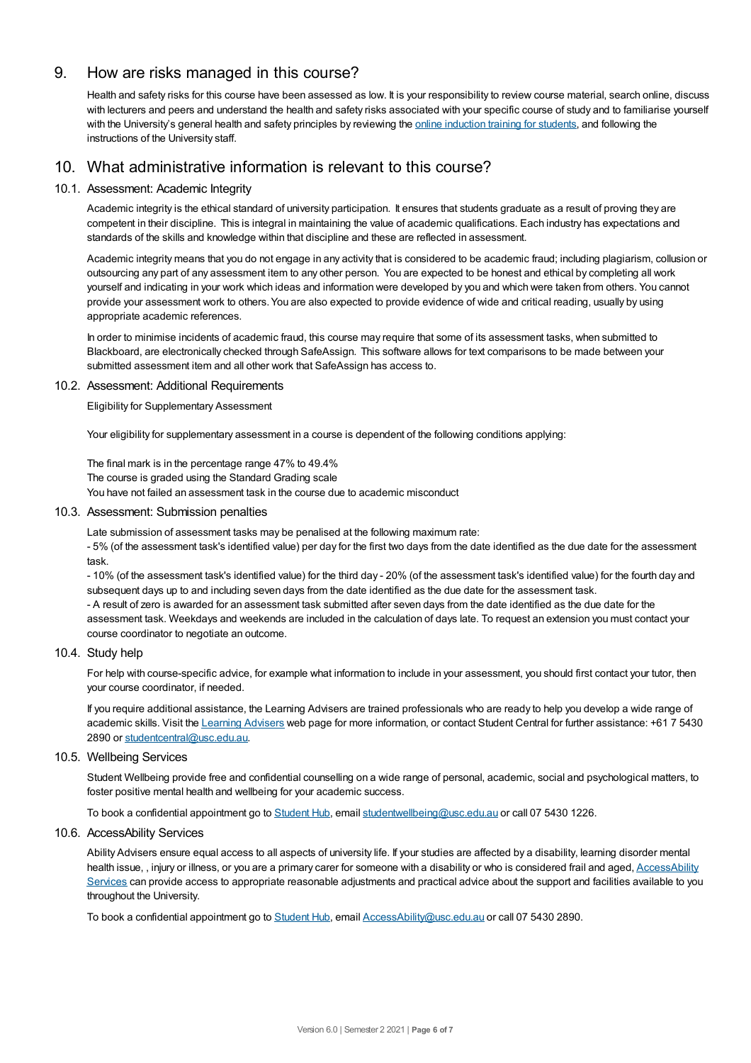# 9. How are risks managed in this course?

Health and safety risks for this course have been assessed as low. It is your responsibility to review course material, search online, discuss with lecturers and peers and understand the health and safety risks associated with your specific course of study and to familiarise yourself with the University's general health and safety principles by reviewing the online [induction](https://online.usc.edu.au/webapps/blackboard/content/listContentEditable.jsp?content_id=_632657_1&course_id=_14432_1) training for students, and following the instructions of the University staff.

# 10. What administrative information is relevant to this course?

## 10.1. Assessment: Academic Integrity

Academic integrity is the ethical standard of university participation. It ensures that students graduate as a result of proving they are competent in their discipline. This is integral in maintaining the value of academic qualifications. Each industry has expectations and standards of the skills and knowledge within that discipline and these are reflected in assessment.

Academic integrity means that you do not engage in any activity that is considered to be academic fraud; including plagiarism, collusion or outsourcing any part of any assessment item to any other person. You are expected to be honest and ethical by completing all work yourself and indicating in your work which ideas and information were developed by you and which were taken from others. You cannot provide your assessment work to others.You are also expected to provide evidence of wide and critical reading, usually by using appropriate academic references.

In order to minimise incidents of academic fraud, this course may require that some of its assessment tasks, when submitted to Blackboard, are electronically checked through SafeAssign. This software allows for text comparisons to be made between your submitted assessment item and all other work that SafeAssign has access to.

### 10.2. Assessment: Additional Requirements

Eligibility for Supplementary Assessment

Your eligibility for supplementary assessment in a course is dependent of the following conditions applying:

The final mark is in the percentage range 47% to 49.4%

The course is graded using the Standard Grading scale

You have not failed an assessment task in the course due to academic misconduct

#### 10.3. Assessment: Submission penalties

Late submission of assessment tasks may be penalised at the following maximum rate:

- 5% (of the assessment task's identified value) per day for the first two days from the date identified as the due date for the assessment task.

- 10% (of the assessment task's identified value) for the third day - 20% (of the assessment task's identified value) for the fourth day and subsequent days up to and including seven days from the date identified as the due date for the assessment task.

- A result of zero is awarded for an assessment task submitted after seven days from the date identified as the due date for the assessment task. Weekdays and weekends are included in the calculation of days late. To request an extension you must contact your course coordinator to negotiate an outcome.

#### 10.4. Study help

For help with course-specific advice, for example what information to include in your assessment, you should first contact your tutor, then your course coordinator, if needed.

If you require additional assistance, the Learning Advisers are trained professionals who are ready to help you develop a wide range of academic skills. Visit the Learning [Advisers](https://www.usc.edu.au/current-students/student-support/academic-and-study-support/learning-advisers) web page for more information, or contact Student Central for further assistance: +61 7 5430 2890 or [studentcentral@usc.edu.au](mailto:studentcentral@usc.edu.au).

#### 10.5. Wellbeing Services

Student Wellbeing provide free and confidential counselling on a wide range of personal, academic, social and psychological matters, to foster positive mental health and wellbeing for your academic success.

To book a confidential appointment go to [Student](https://studenthub.usc.edu.au/) Hub, email [studentwellbeing@usc.edu.au](mailto:studentwellbeing@usc.edu.au) or call 07 5430 1226.

#### 10.6. AccessAbility Services

Ability Advisers ensure equal access to all aspects of university life. If your studies are affected by a disability, learning disorder mental health issue, , injury or illness, or you are a primary carer for someone with a disability or who is considered frail and aged, [AccessAbility](https://www.usc.edu.au/learn/student-support/accessability-services/documentation-requirements) Services can provide access to appropriate reasonable adjustments and practical advice about the support and facilities available to you throughout the University.

To book a confidential appointment go to [Student](https://studenthub.usc.edu.au/) Hub, email [AccessAbility@usc.edu.au](mailto:AccessAbility@usc.edu.au) or call 07 5430 2890.